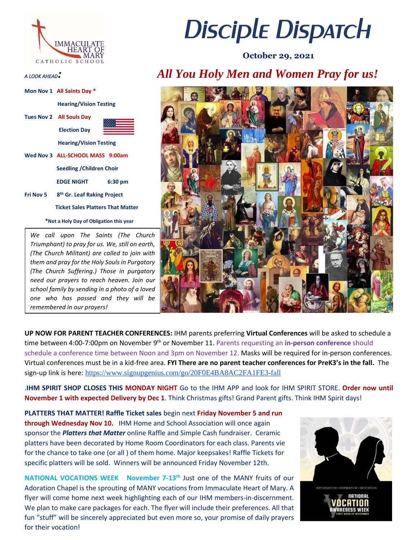

|                                         | Mon Nov 1 All Saints Day *               |           |
|-----------------------------------------|------------------------------------------|-----------|
|                                         | <b>Hearing/Vision Testing</b>            |           |
|                                         | Tues Nov 2 All Souls Day                 |           |
|                                         | <b>Election Day</b>                      |           |
|                                         | <b>Hearing/Vision Testing</b>            |           |
|                                         | Wed Nov 3 ALL-SCHOOL MASS 9:00am         |           |
|                                         | <b>Seedling / Children Choir</b>         |           |
| Fri Nov 5                               | EDGE NIGHT                               | $6:30$ pm |
|                                         | 8 <sup>th</sup> Gr. Leaf Raking Project  |           |
|                                         | <b>Ticket Sales Platters That Matter</b> |           |
| *Not a Holy Day of Obligation this year |                                          |           |

*We call upon The Saints (The Church Triumphant) to pray for us. We, still on earth, (The Church Militant) are called to join with them and pray for the Holy Souls in Purgatory (The Church Suffering.) Those in purgatory need our prayers to reach heaven. Join our school family by sending in a photo of a loved one who has passed and they will be remembered in our prayers!* 

## *Disciple Dispatch*

 **October 29, 2021**

## *A LOOK AHEAD: All You Holy Men and Women Pray for us!*



**UP NOW FOR PARENT TEACHER CONFERENCES:** IHM parents preferring **Virtual Conferences** will be asked to schedule a time between 4:00-7:00pm on November 9<sup>th</sup> or November 11. Parents requesting an in-person conference should schedule a conference time between Noon and 3pm on November 12. Masks will be required for in-person conferences. Virtual conferences must be in a kid-free area. **FYI There are no parent teacher conferences for PreK3's in the fall.** The sign-up link is here: <https://www.signupgenius.com/go/20F0E4BA8AC2FA1FE3-fall>

.**IHM SPIRIT SHOP CLOSES THIS MONDAY NIGHT** Go to the IHM APP and look for IHM SPIRIT STORE. **Order now until November 1 with expected Delivery by Dec 1**. Think Christmas gifts! Grand Parent gifts. Think IHM Spirit days!

**PLATTERS THAT MATTER! Raffle Ticket sales** begin next **Friday November 5 and run through Wednesday Nov 10.** IHM Home and School Association will once again sponsor the *Platters that Matter* online Raffle and Simple Cash fundraiser. Ceramic platters have been decorated by Home Room Coordinators for each class. Parents vie for the chance to take one (or all ) of them home. Major keepsakes! Raffle Tickets for specific platters will be sold. Winners will be announced Friday November 12th.

**NATIONAL VOCATIONS WEEK November 7-13th** Just one of the MANY fruits of our Adoration Chapel is the sprouting of MANY vocations from Immaculate Heart of Mary. A flyer will come home next week highlighting each of our IHM members-in-discernment. We plan to make care packages for each. The flyer will include their preferences. All that fun "stuff" will be sincerely appreciated but even more so, your promise of daily prayers for their vocation!